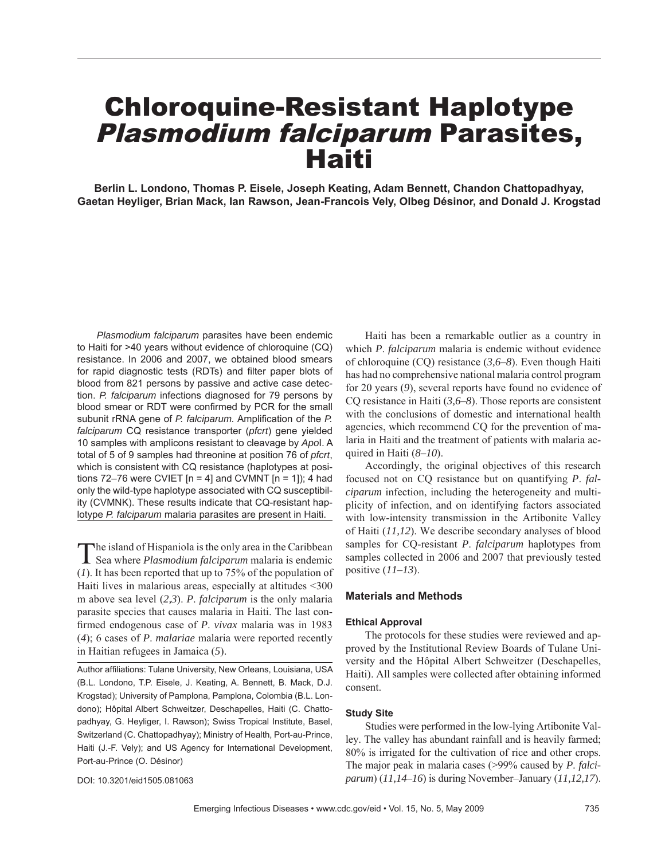## Chloroquine-Resistant Haplotype Plasmodium falciparum Parasites, **Haiti**

**Berlin L. Londono, Thomas P. Eisele, Joseph Keating, Adam Bennett, Chandon Chattopadhyay, Gaetan Heyliger, Brian Mack, Ian Rawson, Jean-Francois Vely, Olbeg Désinor, and Donald J. Krogstad**

*Plasmodium falciparum* parasites have been endemic to Haiti for >40 years without evidence of chloroquine (CQ) resistance. In 2006 and 2007, we obtained blood smears for rapid diagnostic tests (RDTs) and filter paper blots of blood from 821 persons by passive and active case detection. *P. falciparum* infections diagnosed for 79 persons by blood smear or RDT were confirmed by PCR for the small subunit rRNA gene of *P. falciparum.* Amplification of the *P. falciparum* CQ resistance transporter (*pfcrt*) gene yielded 10 samples with amplicons resistant to cleavage by *Apo*I. A total of 5 of 9 samples had threonine at position 76 of *pfcrt*, which is consistent with CQ resistance (haplotypes at positions 72–76 were CVIET  $[n = 4]$  and CVMNT  $[n = 1]$ ; 4 had only the wild-type haplotype associated with CQ susceptibility (CVMNK). These results indicate that CQ-resistant haplotype *P. falciparum* malaria parasites are present in Haiti.

The island of Hispaniola is the only area in the Caribbean Sea where *Plasmodium falciparum* malaria is endemic (*1*). It has been reported that up to 75% of the population of Haiti lives in malarious areas, especially at altitudes <300 m above sea level (*2,3*). *P*. *falciparum* is the only malaria parasite species that causes malaria in Haiti. The last confirmed endogenous case of *P. vivax* malaria was in 1983 (*4*); 6 cases of *P*. *malariae* malaria were reported recently in Haitian refugees in Jamaica (*5*).

Author affiliations: Tulane University, New Orleans, Louisiana, USA (B.L. Londono, T.P. Eisele, J. Keating, A. Bennett, B. Mack, D.J. Krogstad); University of Pamplona, Pamplona, Colombia (B.L. Londono); Hôpital Albert Schweitzer, Deschapelles, Haiti (C. Chattopadhyay, G. Heyliger, I. Rawson); Swiss Tropical Institute, Basel, Switzerland (C. Chattopadhyay); Ministry of Health, Port-au-Prince, Haiti (J.-F. Vely); and US Agency for International Development, Port-au-Prince (O. Désinor)

DOI: 10.3201/eid1505.081063

Haiti has been a remarkable outlier as a country in which *P*. *falciparum* malaria is endemic without evidence of chloroquine (CQ) resistance (*3,6–8*). Even though Haiti has had no comprehensive national malaria control program for 20 years (*9*), several reports have found no evidence of CQ resistance in Haiti (*3,6–8*). Those reports are consistent with the conclusions of domestic and international health agencies, which recommend CQ for the prevention of malaria in Haiti and the treatment of patients with malaria acquired in Haiti (*8–10*).

Accordingly, the original objectives of this research focused not on CQ resistance but on quantifying *P*. *falciparum* infection, including the heterogeneity and multiplicity of infection, and on identifying factors associated with low-intensity transmission in the Artibonite Valley of Haiti (*11,12*). We describe secondary analyses of blood samples for CQ-resistant *P*. *falciparum* haplotypes from samples collected in 2006 and 2007 that previously tested positive (*11–13*).

## **Materials and Methods**

#### **Ethical Approval**

The protocols for these studies were reviewed and approved by the Institutional Review Boards of Tulane University and the Hôpital Albert Schweitzer (Deschapelles, Haiti). All samples were collected after obtaining informed consent.

#### **Study Site**

Studies were performed in the low-lying Artibonite Valley. The valley has abundant rainfall and is heavily farmed; 80% is irrigated for the cultivation of rice and other crops. The major peak in malaria cases (>99% caused by *P*. *falciparum*) (*11,14–16*) is during November–January (*11,12,17*).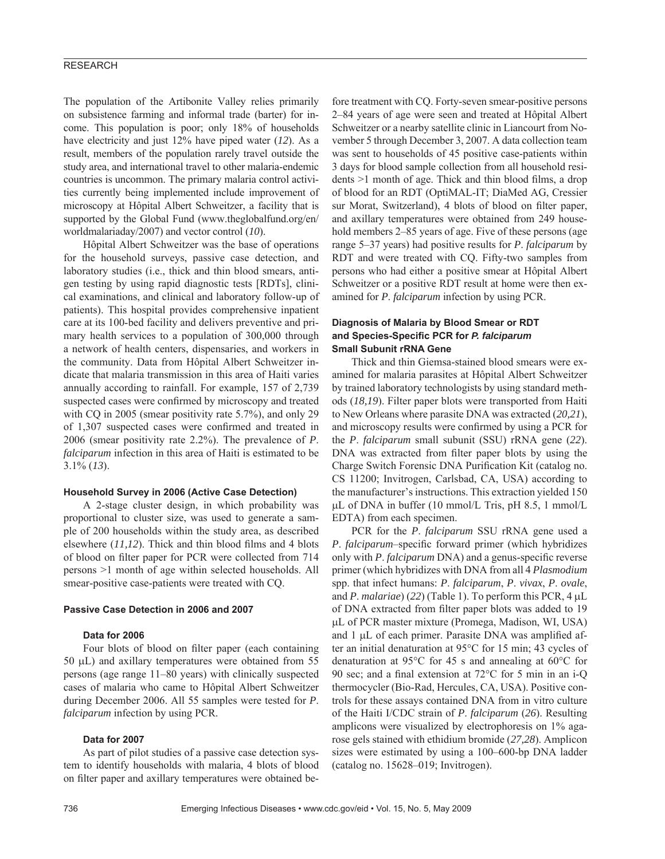## RESEARCH

The population of the Artibonite Valley relies primarily on subsistence farming and informal trade (barter) for income. This population is poor; only 18% of households have electricity and just 12% have piped water (*12*). As a result, members of the population rarely travel outside the study area, and international travel to other malaria-endemic countries is uncommon. The primary malaria control activities currently being implemented include improvement of microscopy at Hôpital Albert Schweitzer, a facility that is supported by the Global Fund (www.theglobalfund.org/en/ worldmalariaday/2007) and vector control (*10*).

Hôpital Albert Schweitzer was the base of operations for the household surveys, passive case detection, and laboratory studies (i.e., thick and thin blood smears, antigen testing by using rapid diagnostic tests [RDTs], clinical examinations, and clinical and laboratory follow-up of patients). This hospital provides comprehensive inpatient care at its 100-bed facility and delivers preventive and primary health services to a population of 300,000 through a network of health centers, dispensaries, and workers in the community. Data from Hôpital Albert Schweitzer indicate that malaria transmission in this area of Haiti varies annually according to rainfall. For example, 157 of 2,739 suspected cases were confirmed by microscopy and treated with CQ in 2005 (smear positivity rate 5.7%), and only 29 of 1,307 suspected cases were confirmed and treated in 2006 (smear positivity rate 2.2%). The prevalence of *P*. *falciparum* infection in this area of Haiti is estimated to be 3.1% (*13*).

#### **Household Survey in 2006 (Active Case Detection)**

A 2-stage cluster design, in which probability was proportional to cluster size, was used to generate a sample of 200 households within the study area, as described elsewhere  $(11,12)$ . Thick and thin blood films and 4 blots of blood on filter paper for PCR were collected from 714 persons >1 month of age within selected households. All smear-positive case-patients were treated with CQ.

#### **Passive Case Detection in 2006 and 2007**

#### **Data for 2006**

Four blots of blood on filter paper (each containing 50 μL) and axillary temperatures were obtained from 55 persons (age range 11–80 years) with clinically suspected cases of malaria who came to Hôpital Albert Schweitzer during December 2006. All 55 samples were tested for *P*. *falciparum* infection by using PCR.

### **Data for 2007**

As part of pilot studies of a passive case detection system to identify households with malaria, 4 blots of blood on filter paper and axillary temperatures were obtained be-

fore treatment with CQ. Forty-seven smear-positive persons 2–84 years of age were seen and treated at Hôpital Albert Schweitzer or a nearby satellite clinic in Liancourt from November 5 through December 3, 2007. A data collection team was sent to households of 45 positive case-patients within 3 days for blood sample collection from all household residents  $>1$  month of age. Thick and thin blood films, a drop of blood for an RDT (OptiMAL-IT; DiaMed AG, Cressier sur Morat, Switzerland), 4 blots of blood on filter paper, and axillary temperatures were obtained from 249 household members 2–85 years of age. Five of these persons (age range 5–37 years) had positive results for *P*. *falciparum* by RDT and were treated with CQ. Fifty-two samples from persons who had either a positive smear at Hôpital Albert Schweitzer or a positive RDT result at home were then examined for *P*. *falciparum* infection by using PCR.

## **Diagnosis of Malaria by Blood Smear or RDT**  and Species-Specific PCR for *P. falciparum* **Small Subunit rRNA Gene**

Thick and thin Giemsa-stained blood smears were examined for malaria parasites at Hôpital Albert Schweitzer by trained laboratory technologists by using standard methods (*18,19*). Filter paper blots were transported from Haiti to New Orleans where parasite DNA was extracted (*20,21*), and microscopy results were confirmed by using a PCR for the *P*. *falciparum* small subunit (SSU) rRNA gene (*22*). DNA was extracted from filter paper blots by using the Charge Switch Forensic DNA Purification Kit (catalog no. CS 11200; Invitrogen, Carlsbad, CA, USA) according to the manufacturer's instructions. This extraction yielded 150 μL of DNA in buffer (10 mmol/L Tris, pH 8.5, 1 mmol/L EDTA) from each specimen.

PCR for the *P*. *falciparum* SSU rRNA gene used a *P. falciparum–specific forward primer (which hybridizes* only with *P. falciparum* DNA) and a genus-specific reverse primer (which hybridizes with DNA from all 4 *Plasmodium* spp. that infect humans: *P*. *falciparum*, *P*. *vivax*, *P*. *ovale*, and *P*. *malariae*) (*22*) (Table 1). To perform this PCR, 4 μL of DNA extracted from filter paper blots was added to 19 μL of PCR master mixture (Promega, Madison, WI, USA) and 1 μL of each primer. Parasite DNA was amplified after an initial denaturation at 95°C for 15 min; 43 cycles of denaturation at 95°C for 45 s and annealing at 60°C for 90 sec; and a final extension at  $72^{\circ}$ C for 5 min in an i-Q thermocycler (Bio-Rad, Hercules, CA, USA). Positive controls for these assays contained DNA from in vitro culture of the Haiti I/CDC strain of *P*. *falciparum* (*26*). Resulting amplicons were visualized by electrophoresis on 1% agarose gels stained with ethidium bromide (*27,28*). Amplicon sizes were estimated by using a 100–600-bp DNA ladder (catalog no. 15628–019; Invitrogen).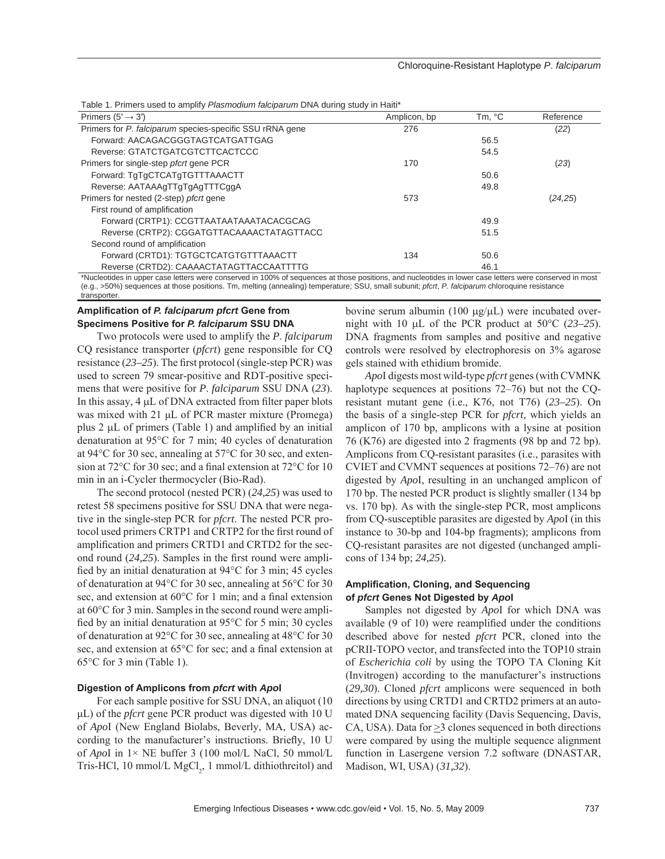Table 1. Primers used to amplify *Plasmodium falciparum* DNA during study in Haiti\*

| Primers $(5' \rightarrow 3')$                            | Amplicon, bp | Tm, °C | Reference |
|----------------------------------------------------------|--------------|--------|-----------|
| Primers for P. falciparum species-specific SSU rRNA gene | 276          |        | (22)      |
| Forward: AACAGACGGGTAGTCATGATTGAG                        |              | 56.5   |           |
| Reverse: GTATCTGATCGTCTTCACTCCC                          |              | 54.5   |           |
| Primers for single-step <i>pfcrt</i> gene PCR            | 170          |        | (23)      |
| Forward: TqTqCTCATqTGTTTAAACTT                           |              | 50.6   |           |
| Reverse: AATAAAgTTgTgAgTTTCggA                           |              | 49.8   |           |
| Primers for nested (2-step) <i>pfcrt</i> gene            | 573          |        | (24,25)   |
| First round of amplification                             |              |        |           |
| Forward (CRTP1): CCGTTAATAATAAATACACGCAG                 |              | 49.9   |           |
| Reverse (CRTP2): CGGATGTTACAAAACTATAGTTACC               |              | 51.5   |           |
| Second round of amplification                            |              |        |           |
| Forward (CRTD1): TGTGCTCATGTGTTTAAACTT                   | 134          | 50.6   |           |
| Reverse (CRTD2): CAAAACTATAGTTACCAATTTTG                 |              | 46.1   |           |

\*Nucleotides in upper case letters were conserved in 100% of sequences at those positions, and nucleotides in lower case letters were conserved in most (e.g., >50%) sequences at those positions. Tm, melting (annealing) temperature; SSU, small subunit; *pfcrt*, *P. falciparum* chloroquine resistance transporter.

## **Amplifi cation of** *P. falciparum pfcrt* **Gene from Specimens Positive for** *P. falciparum* **SSU DNA**

Two protocols were used to amplify the *P*. *falciparum*  CQ resistance transporter (*pfcrt*) gene responsible for CQ resistance (23–25). The first protocol (single-step PCR) was used to screen 79 smear-positive and RDT-positive specimens that were positive for *P*. *falciparum* SSU DNA (*23*). In this assay,  $4 \mu L$  of DNA extracted from filter paper blots was mixed with 21 μL of PCR master mixture (Promega) plus  $2 \mu L$  of primers (Table 1) and amplified by an initial denaturation at 95°C for 7 min; 40 cycles of denaturation at 94°C for 30 sec, annealing at 57°C for 30 sec, and extension at  $72^{\circ}$ C for 30 sec; and a final extension at  $72^{\circ}$ C for 10 min in an i-Cycler thermocycler (Bio-Rad).

The second protocol (nested PCR) (*24,25*) was used to retest 58 specimens positive for SSU DNA that were negative in the single-step PCR for *pfcrt*. The nested PCR protocol used primers CRTP1 and CRTP2 for the first round of amplification and primers CRTD1 and CRTD2 for the second round  $(24,25)$ . Samples in the first round were amplified by an initial denaturation at  $94^{\circ}$ C for 3 min; 45 cycles of denaturation at 94°C for 30 sec, annealing at 56°C for 30 sec, and extension at  $60^{\circ}$ C for 1 min; and a final extension at 60°C for 3 min. Samples in the second round were amplified by an initial denaturation at  $95^{\circ}$ C for 5 min; 30 cycles of denaturation at 92°C for 30 sec, annealing at 48°C for 30 sec, and extension at  $65^{\circ}$ C for sec; and a final extension at 65°C for 3 min (Table 1).

#### **Digestion of Amplicons from** *pfcrt* **with** *Apo***I**

For each sample positive for SSU DNA, an aliquot (10 μL) of the *pfcrt* gene PCR product was digested with 10 U of *Apo*I (New England Biolabs, Beverly, MA, USA) according to the manufacturer's instructions. Briefly, 10 U of *Apo*I in 1× NE buffer 3 (100 mol/L NaCl, 50 mmol/L Tris-HCl, 10 mmol/L  $MgCl<sub>2</sub>$ , 1 mmol/L dithiothreitol) and bovine serum albumin (100 μg/μL) were incubated overnight with 10 μL of the PCR product at 50°C (*23–25*). DNA fragments from samples and positive and negative controls were resolved by electrophoresis on 3% agarose gels stained with ethidium bromide.

*Apo*I digests most wild-type *pfcrt* genes (with CVMNK haplotype sequences at positions 72–76) but not the CQresistant mutant gene (i.e., K76, not T76) (*23–25*). On the basis of a single-step PCR for *pfcrt,* which yields an amplicon of 170 bp, amplicons with a lysine at position 76 (K76) are digested into 2 fragments (98 bp and 72 bp). Amplicons from CQ-resistant parasites (i.e., parasites with CVIET and CVMNT sequences at positions 72–76) are not digested by *Apo*I, resulting in an unchanged amplicon of 170 bp. The nested PCR product is slightly smaller (134 bp vs. 170 bp). As with the single-step PCR, most amplicons from CQ-susceptible parasites are digested by *Apo*I (in this instance to 30-bp and 104-bp fragments); amplicons from CQ-resistant parasites are not digested (unchanged amplicons of 134 bp; *24,25*).

### **Amplifi cation, Cloning, and Sequencing of** *pfcrt* **Genes Not Digested by** *Apo***I**

Samples not digested by *Apo*I for which DNA was available  $(9 \text{ of } 10)$  were reamplified under the conditions described above for nested *pfcrt* PCR, cloned into the pCRII-TOPO vector, and transfected into the TOP10 strain of *Escherichia coli* by using the TOPO TA Cloning Kit (Invitrogen) according to the manufacturer's instructions (*29,30*). Cloned *pfcrt* amplicons were sequenced in both directions by using CRTD1 and CRTD2 primers at an automated DNA sequencing facility (Davis Sequencing, Davis, CA, USA). Data for  $\geq$ 3 clones sequenced in both directions were compared by using the multiple sequence alignment function in Lasergene version 7.2 software (DNASTAR, Madison, WI, USA) (*31,32*).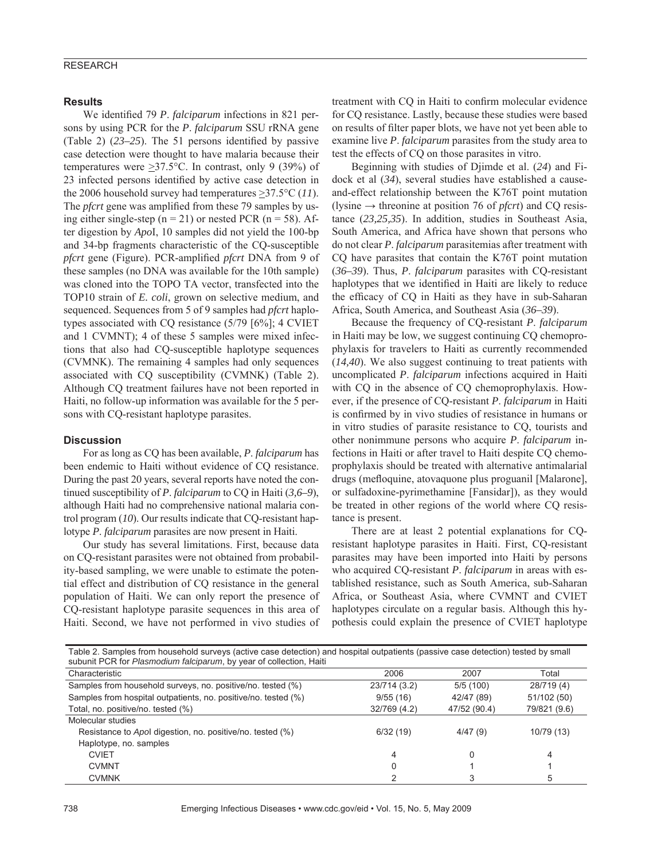## RESEARCH

#### **Results**

We identified 79 *P. falciparum* infections in 821 persons by using PCR for the *P*. *falciparum* SSU rRNA gene (Table 2)  $(23-25)$ . The 51 persons identified by passive case detection were thought to have malaria because their temperatures were  $\geq$ 37.5°C. In contrast, only 9 (39%) of 23 infected persons identified by active case detection in the 2006 household survey had temperatures  $\geq$ 37.5°C (11). The *pfcrt* gene was amplified from these 79 samples by using either single-step ( $n = 21$ ) or nested PCR ( $n = 58$ ). After digestion by *Apo*I, 10 samples did not yield the 100-bp and 34-bp fragments characteristic of the CQ-susceptible *pfcrt* gene (Figure). PCR-amplified *pfcrt* DNA from 9 of these samples (no DNA was available for the 10th sample) was cloned into the TOPO TA vector, transfected into the TOP10 strain of *E. coli*, grown on selective medium, and sequenced. Sequences from 5 of 9 samples had *pfcrt* haplotypes associated with CQ resistance (5/79 [6%]; 4 CVIET and 1 CVMNT); 4 of these 5 samples were mixed infections that also had CQ-susceptible haplotype sequences (CVMNK). The remaining 4 samples had only sequences associated with CQ susceptibility (CVMNK) (Table 2). Although CQ treatment failures have not been reported in Haiti, no follow-up information was available for the 5 persons with CQ-resistant haplotype parasites.

### **Discussion**

For as long as CQ has been available, *P*. *falciparum* has been endemic to Haiti without evidence of CQ resistance. During the past 20 years, several reports have noted the continued susceptibility of *P*. *falciparum* to CQ in Haiti (*3,6–9*), although Haiti had no comprehensive national malaria control program (*10*). Our results indicate that CQ-resistant haplotype *P*. *falciparum* parasites are now present in Haiti.

Our study has several limitations. First, because data on CQ-resistant parasites were not obtained from probability-based sampling, we were unable to estimate the potential effect and distribution of CQ resistance in the general population of Haiti. We can only report the presence of CQ-resistant haplotype parasite sequences in this area of Haiti. Second, we have not performed in vivo studies of treatment with CQ in Haiti to confirm molecular evidence for CQ resistance. Lastly, because these studies were based on results of filter paper blots, we have not yet been able to examine live *P*. *falciparum* parasites from the study area to test the effects of CQ on those parasites in vitro.

Beginning with studies of Djimde et al. (*24*) and Fidock et al (*34*), several studies have established a causeand-effect relationship between the K76T point mutation (lysine  $\rightarrow$  threonine at position 76 of *pfcrt*) and CQ resistance (*23,25,35*). In addition, studies in Southeast Asia, South America, and Africa have shown that persons who do not clear *P*. *falciparum* parasitemias after treatment with CQ have parasites that contain the K76T point mutation (*36–39*). Thus, *P*. *falciparum* parasites with CQ-resistant haplotypes that we identified in Haiti are likely to reduce the efficacy of CQ in Haiti as they have in sub-Saharan Africa, South America, and Southeast Asia (*36–39*).

Because the frequency of CQ-resistant *P*. *falciparum* in Haiti may be low, we suggest continuing CQ chemoprophylaxis for travelers to Haiti as currently recommended (*14,40*). We also suggest continuing to treat patients with uncomplicated *P*. *falciparum* infections acquired in Haiti with CQ in the absence of CQ chemoprophylaxis. However, if the presence of CQ-resistant *P*. *falciparum* in Haiti is confirmed by in vivo studies of resistance in humans or in vitro studies of parasite resistance to CQ, tourists and other nonimmune persons who acquire *P*. *falciparum* infections in Haiti or after travel to Haiti despite CQ chemoprophylaxis should be treated with alternative antimalarial drugs (mefloquine, atovaquone plus proguanil [Malarone], or sulfadoxine-pyrimethamine [Fansidar]), as they would be treated in other regions of the world where CQ resistance is present.

There are at least 2 potential explanations for CQresistant haplotype parasites in Haiti. First, CQ-resistant parasites may have been imported into Haiti by persons who acquired CQ-resistant *P*. *falciparum* in areas with established resistance, such as South America, sub-Saharan Africa, or Southeast Asia, where CVMNT and CVIET haplotypes circulate on a regular basis. Although this hypothesis could explain the presence of CVIET haplotype

| Table 2. Samples from household surveys (active case detection) and hospital outpatients (passive case detection) tested by small<br>subunit PCR for Plasmodium falciparum, by year of collection, Haiti |              |              |              |  |
|----------------------------------------------------------------------------------------------------------------------------------------------------------------------------------------------------------|--------------|--------------|--------------|--|
| Characteristic                                                                                                                                                                                           | 2006         | 2007         | Total        |  |
| Samples from household surveys, no. positive/no. tested (%)                                                                                                                                              | 23/714 (3.2) | 5/5(100)     | 28/719 (4)   |  |
| Samples from hospital outpatients, no. positive/no. tested (%)                                                                                                                                           | 9/55(16)     | 42/47 (89)   | 51/102 (50)  |  |
| Total, no. positive/no. tested (%)                                                                                                                                                                       | 32/769 (4.2) | 47/52 (90.4) | 79/821 (9.6) |  |
| Molecular studies                                                                                                                                                                                        |              |              |              |  |
| Resistance to Apol digestion, no. positive/no. tested (%)                                                                                                                                                | 6/32(19)     | 4/47(9)      | 10/79 (13)   |  |
| Haplotype, no. samples                                                                                                                                                                                   |              |              |              |  |
| <b>CVIET</b>                                                                                                                                                                                             | 4            |              | 4            |  |
| <b>CVMNT</b>                                                                                                                                                                                             |              |              |              |  |
| <b>CVMNK</b>                                                                                                                                                                                             |              |              | 5            |  |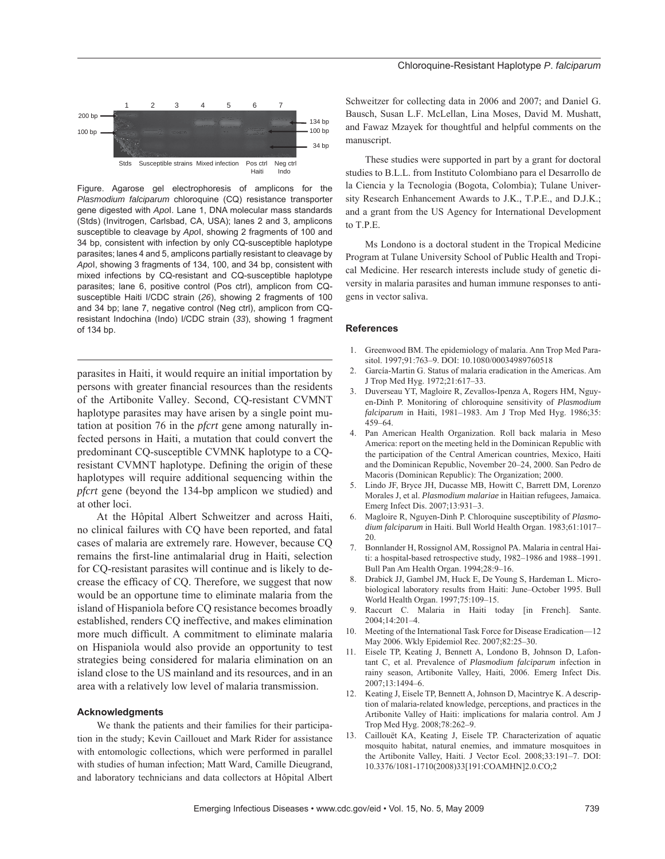#### Chloroquine-Resistant Haplotype *P*. *falciparum*



Figure. Agarose gel electrophoresis of amplicons for the *Plasmodium falciparum* chloroquine (CQ) resistance transporter gene digested with *Apo*I. Lane 1, DNA molecular mass standards (Stds) (Invitrogen, Carlsbad, CA, USA); lanes 2 and 3, amplicons susceptible to cleavage by *Apo*I, showing 2 fragments of 100 and 34 bp, consistent with infection by only CQ-susceptible haplotype parasites; lanes 4 and 5, amplicons partially resistant to cleavage by *Apo*I, showing 3 fragments of 134, 100, and 34 bp, consistent with mixed infections by CQ-resistant and CQ-susceptible haplotype parasites; lane 6, positive control (Pos ctrl), amplicon from CQsusceptible Haiti I/CDC strain (*26*), showing 2 fragments of 100 and 34 bp; lane 7, negative control (Neg ctrl), amplicon from CQresistant Indochina (Indo) I/CDC strain (*33*), showing 1 fragment of 134 bp.

parasites in Haiti, it would require an initial importation by persons with greater financial resources than the residents of the Artibonite Valley. Second, CQ-resistant CVMNT haplotype parasites may have arisen by a single point mutation at position 76 in the *pfcrt* gene among naturally infected persons in Haiti, a mutation that could convert the predominant CQ-susceptible CVMNK haplotype to a CQresistant CVMNT haplotype. Defining the origin of these haplotypes will require additional sequencing within the *pfcrt* gene (beyond the 134-bp amplicon we studied) and at other loci.

At the Hôpital Albert Schweitzer and across Haiti, no clinical failures with CQ have been reported, and fatal cases of malaria are extremely rare. However, because CQ remains the first-line antimalarial drug in Haiti, selection for CQ-resistant parasites will continue and is likely to decrease the efficacy of CQ. Therefore, we suggest that now would be an opportune time to eliminate malaria from the island of Hispaniola before CQ resistance becomes broadly established, renders CQ ineffective, and makes elimination more much difficult. A commitment to eliminate malaria on Hispaniola would also provide an opportunity to test strategies being considered for malaria elimination on an island close to the US mainland and its resources, and in an area with a relatively low level of malaria transmission.

#### **Acknowledgments**

We thank the patients and their families for their participation in the study; Kevin Caillouet and Mark Rider for assistance with entomologic collections, which were performed in parallel with studies of human infection; Matt Ward, Camille Dieugrand, and laboratory technicians and data collectors at Hôpital Albert Schweitzer for collecting data in 2006 and 2007; and Daniel G. Bausch, Susan L.F. McLellan, Lina Moses, David M. Mushatt, and Fawaz Mzayek for thoughtful and helpful comments on the manuscript.

These studies were supported in part by a grant for doctoral studies to B.L.L. from Instituto Colombiano para el Desarrollo de la Ciencia y la Tecnologia (Bogota, Colombia); Tulane University Research Enhancement Awards to J.K., T.P.E., and D.J.K.; and a grant from the US Agency for International Development to T.P.E.

Ms Londono is a doctoral student in the Tropical Medicine Program at Tulane University School of Public Health and Tropical Medicine. Her research interests include study of genetic diversity in malaria parasites and human immune responses to antigens in vector saliva.

#### **References**

- 1. Greenwood BM. The epidemiology of malaria. Ann Trop Med Parasitol. 1997;91:763–9. DOI: 10.1080/00034989760518
- 2. García-Martin G. Status of malaria eradication in the Americas. Am J Trop Med Hyg. 1972;21:617–33.
- 3. Duverseau YT, Magloire R, Zevallos-Ipenza A, Rogers HM, Nguyen-Dinh P. Monitoring of chloroquine sensitivity of *Plasmodium falciparum* in Haiti, 1981–1983. Am J Trop Med Hyg. 1986;35: 459–64.
- 4. Pan American Health Organization. Roll back malaria in Meso America: report on the meeting held in the Dominican Republic with the participation of the Central American countries, Mexico, Haiti and the Dominican Republic, November 20–24, 2000. San Pedro de Macoris (Dominican Republic): The Organization; 2000.
- 5. Lindo JF, Bryce JH, Ducasse MB, Howitt C, Barrett DM, Lorenzo Morales J, et al. *Plasmodium malariae* in Haitian refugees, Jamaica. Emerg Infect Dis. 2007;13:931–3.
- 6. Magloire R, Nguyen-Dinh P. Chloroquine susceptibility of *Plasmodium falciparum* in Haiti. Bull World Health Organ. 1983;61:1017– 20.
- 7. Bonnlander H, Rossignol AM, Rossignol PA. Malaria in central Haiti: a hospital-based retrospective study, 1982–1986 and 1988–1991. Bull Pan Am Health Organ. 1994;28:9–16.
- 8. Drabick JJ, Gambel JM, Huck E, De Young S, Hardeman L. Microbiological laboratory results from Haiti: June–October 1995. Bull World Health Organ. 1997;75:109–15.
- Raccurt C. Malaria in Haiti today [in French]. Sante. 2004;14:201–4.
- 10. Meeting of the International Task Force for Disease Eradication—12 May 2006. Wkly Epidemiol Rec. 2007;82:25–30.
- 11. Eisele TP, Keating J, Bennett A, Londono B, Johnson D, Lafontant C, et al. Prevalence of *Plasmodium falciparum* infection in rainy season, Artibonite Valley, Haiti, 2006. Emerg Infect Dis. 2007;13:1494–6.
- 12. Keating J, Eisele TP, Bennett A, Johnson D, Macintrye K. A description of malaria-related knowledge, perceptions, and practices in the Artibonite Valley of Haiti: implications for malaria control. Am J Trop Med Hyg. 2008;78:262–9.
- 13. Caillouët KA, Keating J, Eisele TP. Characterization of aquatic mosquito habitat, natural enemies, and immature mosquitoes in the Artibonite Valley, Haiti. J Vector Ecol. 2008;33:191–7. DOI: 10.3376/1081-1710(2008)33[191:COAMHN]2.0.CO;2